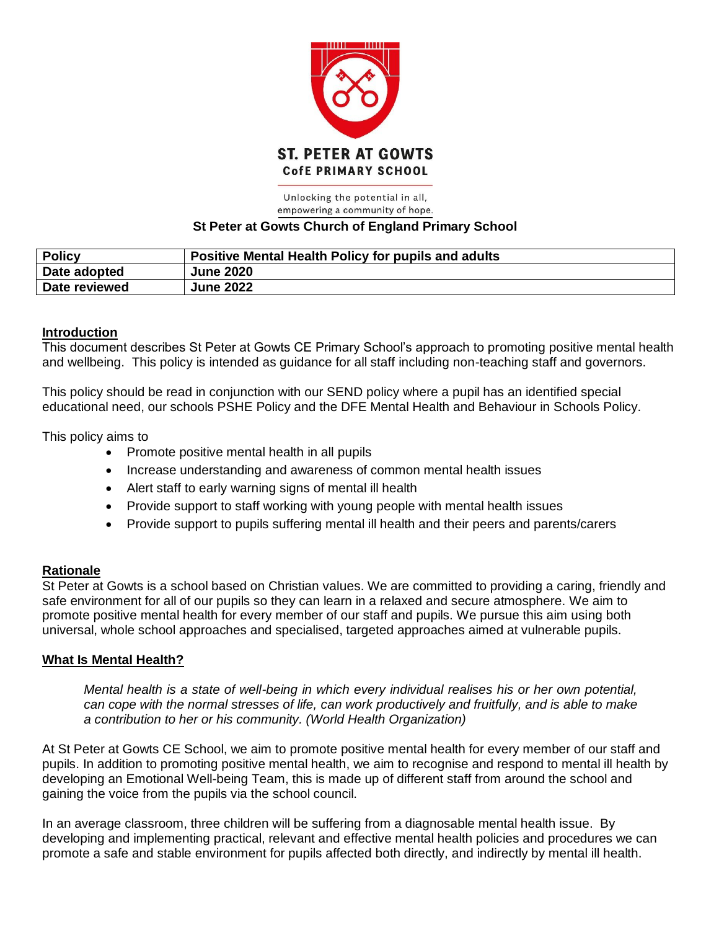

#### Unlocking the potential in all, empowering a community of hope. **St Peter at Gowts Church of England Primary School**

| <b>Policy</b> | <b>Positive Mental Health Policy for pupils and adults</b> |
|---------------|------------------------------------------------------------|
| Date adopted  | <b>June 2020</b>                                           |
| Date reviewed | <b>June 2022</b>                                           |

### **Introduction**

This document describes St Peter at Gowts CE Primary School's approach to promoting positive mental health and wellbeing. This policy is intended as guidance for all staff including non-teaching staff and governors.

This policy should be read in conjunction with our SEND policy where a pupil has an identified special educational need, our schools PSHE Policy and the DFE Mental Health and Behaviour in Schools Policy.

This policy aims to

- Promote positive mental health in all pupils
- Increase understanding and awareness of common mental health issues
- Alert staff to early warning signs of mental ill health
- Provide support to staff working with young people with mental health issues
- Provide support to pupils suffering mental ill health and their peers and parents/carers

#### **Rationale**

St Peter at Gowts is a school based on Christian values. We are committed to providing a caring, friendly and safe environment for all of our pupils so they can learn in a relaxed and secure atmosphere. We aim to promote positive mental health for every member of our staff and pupils. We pursue this aim using both universal, whole school approaches and specialised, targeted approaches aimed at vulnerable pupils.

#### **What Is Mental Health?**

*Mental health is a state of well-being in which every individual realises his or her own potential, can cope with the normal stresses of life, can work productively and fruitfully, and is able to make a contribution to her or his community. (World Health Organization)*

At St Peter at Gowts CE School, we aim to promote positive mental health for every member of our staff and pupils. In addition to promoting positive mental health, we aim to recognise and respond to mental ill health by developing an Emotional Well-being Team, this is made up of different staff from around the school and gaining the voice from the pupils via the school council.

In an average classroom, three children will be suffering from a diagnosable mental health issue. By developing and implementing practical, relevant and effective mental health policies and procedures we can promote a safe and stable environment for pupils affected both directly, and indirectly by mental ill health.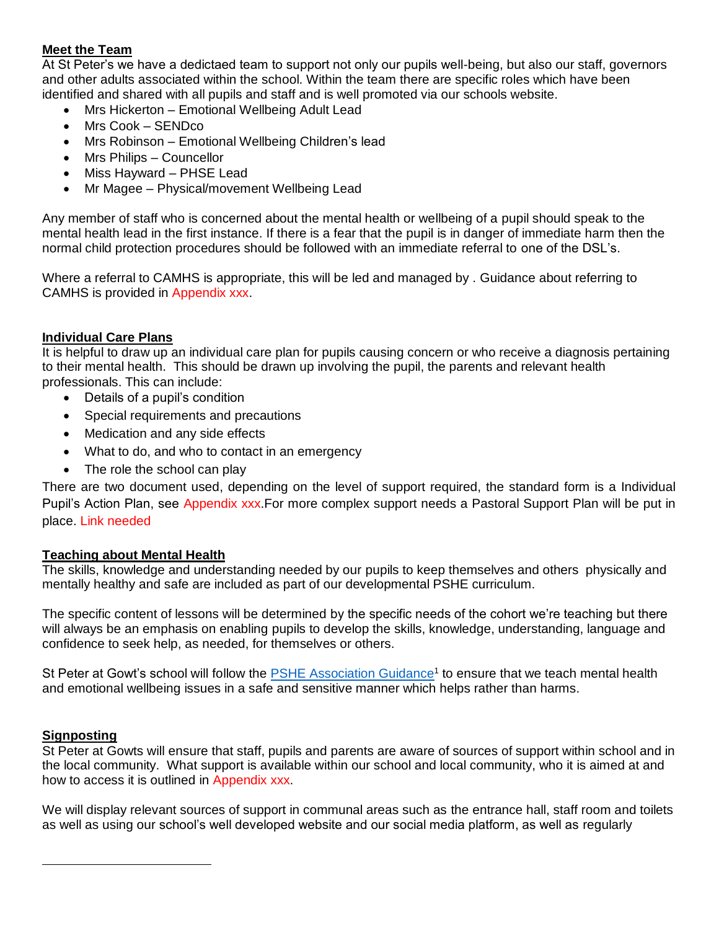#### **Meet the Team**

At St Peter's we have a dedictaed team to support not only our pupils well-being, but also our staff, governors and other adults associated within the school. Within the team there are specific roles which have been identified and shared with all pupils and staff and is well promoted via our schools website.

- Mrs Hickerton Emotional Wellbeing Adult Lead
- Mrs Cook SENDco
- Mrs Robinson Emotional Wellbeing Children's lead
- Mrs Philips Councellor
- Miss Hayward PHSE Lead
- Mr Magee Physical/movement Wellbeing Lead

Any member of staff who is concerned about the mental health or wellbeing of a pupil should speak to the mental health lead in the first instance. If there is a fear that the pupil is in danger of immediate harm then the normal child protection procedures should be followed with an immediate referral to one of the DSL's.

Where a referral to CAMHS is appropriate, this will be led and managed by . Guidance about referring to CAMHS is provided in Appendix xxx.

#### **Individual Care Plans**

It is helpful to draw up an individual care plan for pupils causing concern or who receive a diagnosis pertaining to their mental health. This should be drawn up involving the pupil, the parents and relevant health professionals. This can include:

- Details of a pupil's condition
- Special requirements and precautions
- Medication and any side effects
- What to do, and who to contact in an emergency
- The role the school can play

There are two document used, depending on the level of support required, the standard form is a Individual Pupil's Action Plan, see Appendix xxx.For more complex support needs a Pastoral Support Plan will be put in place. Link needed

#### **Teaching about Mental Health**

The skills, knowledge and understanding needed by our pupils to keep themselves and others physically and mentally healthy and safe are included as part of our developmental PSHE curriculum.

The specific content of lessons will be determined by the specific needs of the cohort we're teaching but there will always be an emphasis on enabling pupils to develop the skills, knowledge, understanding, language and confidence to seek help, as needed, for themselves or others.

St Peter at Gowt's school will follow the **PSHE Association Guidance<sup>1</sup> to ensure that we teach mental health** and emotional wellbeing issues in a safe and sensitive manner which helps rather than harms.

#### **Signposting**

 $\overline{a}$ 

St Peter at Gowts will ensure that staff, pupils and parents are aware of sources of support within school and in the local community. What support is available within our school and local community, who it is aimed at and how to access it is outlined in Appendix xxx.

We will display relevant sources of support in communal areas such as the entrance hall, staff room and toilets as well as using our school's well developed website and our social media platform, as well as regularly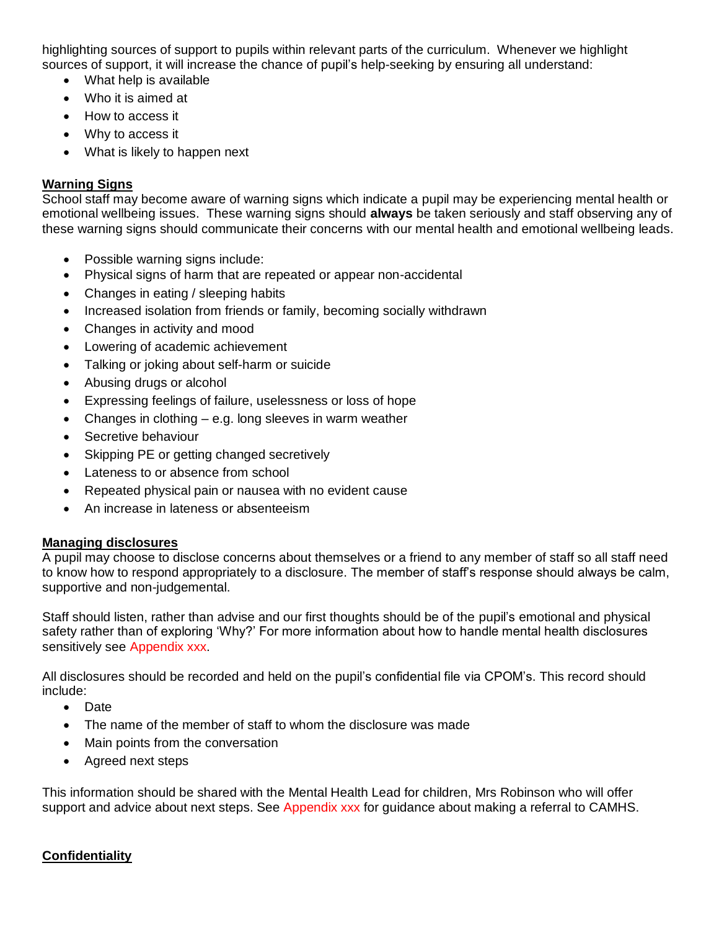highlighting sources of support to pupils within relevant parts of the curriculum. Whenever we highlight sources of support, it will increase the chance of pupil's help-seeking by ensuring all understand:

- What help is available
- Who it is aimed at
- How to access it
- Why to access it
- What is likely to happen next

#### **Warning Signs**

School staff may become aware of warning signs which indicate a pupil may be experiencing mental health or emotional wellbeing issues. These warning signs should **always** be taken seriously and staff observing any of these warning signs should communicate their concerns with our mental health and emotional wellbeing leads.

- Possible warning signs include:
- Physical signs of harm that are repeated or appear non-accidental
- Changes in eating / sleeping habits
- Increased isolation from friends or family, becoming socially withdrawn
- Changes in activity and mood
- Lowering of academic achievement
- Talking or joking about self-harm or suicide
- Abusing drugs or alcohol
- Expressing feelings of failure, uselessness or loss of hope
- Changes in clothing  $-$  e.g. long sleeves in warm weather
- Secretive behaviour
- Skipping PE or getting changed secretively
- Lateness to or absence from school
- Repeated physical pain or nausea with no evident cause
- An increase in lateness or absenteeism

#### **Managing disclosures**

A pupil may choose to disclose concerns about themselves or a friend to any member of staff so all staff need to know how to respond appropriately to a disclosure. The member of staff's response should always be calm, supportive and non-judgemental.

Staff should listen, rather than advise and our first thoughts should be of the pupil's emotional and physical safety rather than of exploring 'Why?' For more information about how to handle mental health disclosures sensitively see Appendix xxx.

All disclosures should be recorded and held on the pupil's confidential file via CPOM's. This record should include:

- Date
- The name of the member of staff to whom the disclosure was made
- Main points from the conversation
- Agreed next steps

This information should be shared with the Mental Health Lead for children, Mrs Robinson who will offer support and advice about next steps. See Appendix xxx for quidance about making a referral to CAMHS.

# **Confidentiality**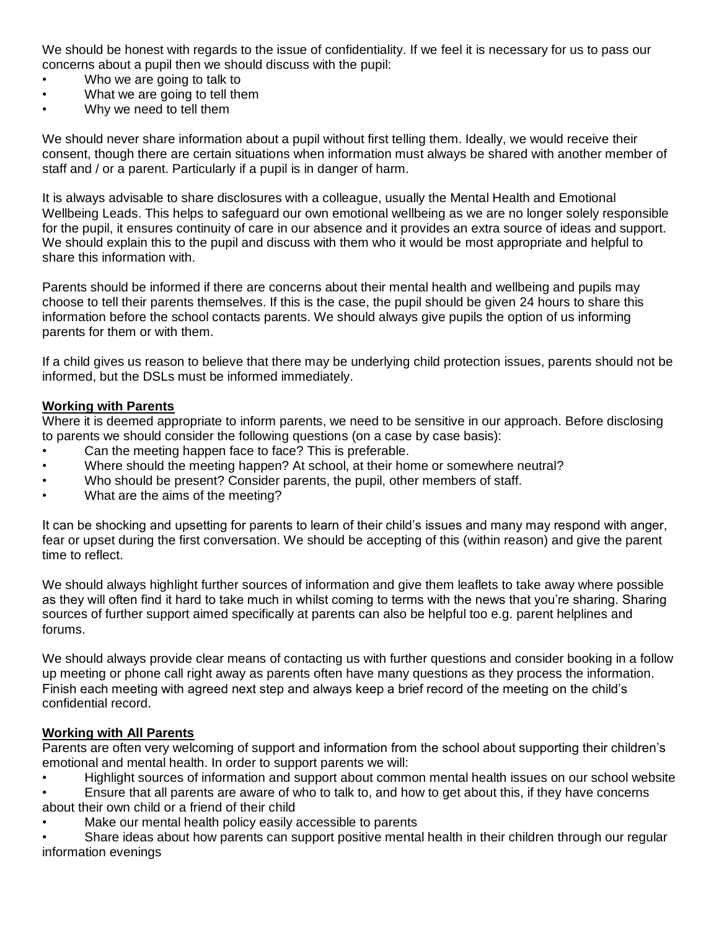We should be honest with regards to the issue of confidentiality. If we feel it is necessary for us to pass our concerns about a pupil then we should discuss with the pupil:

- Who we are going to talk to
- What we are going to tell them
- Why we need to tell them

We should never share information about a pupil without first telling them. Ideally, we would receive their consent, though there are certain situations when information must always be shared with another member of staff and / or a parent. Particularly if a pupil is in danger of harm.

It is always advisable to share disclosures with a colleague, usually the Mental Health and Emotional Wellbeing Leads. This helps to safeguard our own emotional wellbeing as we are no longer solely responsible for the pupil, it ensures continuity of care in our absence and it provides an extra source of ideas and support. We should explain this to the pupil and discuss with them who it would be most appropriate and helpful to share this information with.

Parents should be informed if there are concerns about their mental health and wellbeing and pupils may choose to tell their parents themselves. If this is the case, the pupil should be given 24 hours to share this information before the school contacts parents. We should always give pupils the option of us informing parents for them or with them.

If a child gives us reason to believe that there may be underlying child protection issues, parents should not be informed, but the DSLs must be informed immediately.

#### **Working with Parents**

Where it is deemed appropriate to inform parents, we need to be sensitive in our approach. Before disclosing to parents we should consider the following questions (on a case by case basis):

- Can the meeting happen face to face? This is preferable.
- Where should the meeting happen? At school, at their home or somewhere neutral?
- Who should be present? Consider parents, the pupil, other members of staff.
- What are the aims of the meeting?

It can be shocking and upsetting for parents to learn of their child's issues and many may respond with anger, fear or upset during the first conversation. We should be accepting of this (within reason) and give the parent time to reflect.

We should always highlight further sources of information and give them leaflets to take away where possible as they will often find it hard to take much in whilst coming to terms with the news that you're sharing. Sharing sources of further support aimed specifically at parents can also be helpful too e.g. parent helplines and forums.

We should always provide clear means of contacting us with further questions and consider booking in a follow up meeting or phone call right away as parents often have many questions as they process the information. Finish each meeting with agreed next step and always keep a brief record of the meeting on the child's confidential record.

#### **Working with All Parents**

Parents are often very welcoming of support and information from the school about supporting their children's emotional and mental health. In order to support parents we will:

• Highlight sources of information and support about common mental health issues on our school website

• Ensure that all parents are aware of who to talk to, and how to get about this, if they have concerns about their own child or a friend of their child

Make our mental health policy easily accessible to parents

• Share ideas about how parents can support positive mental health in their children through our regular information evenings